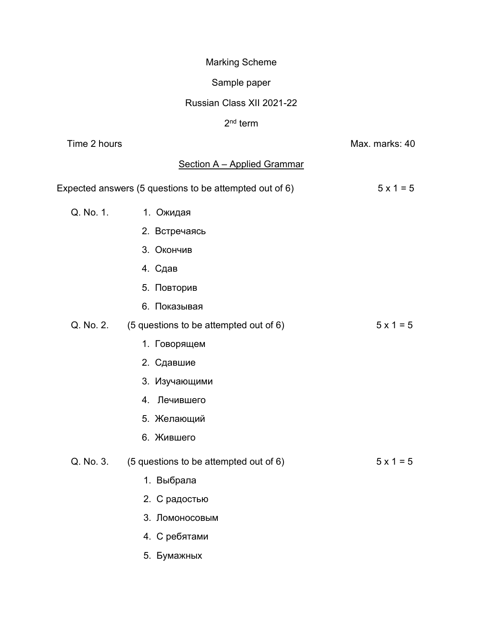# Marking Scheme

# Sample paper

### Russian Class XII 2021-22

#### 2<sup>nd</sup> term

| Time 2 hours |                                                         | Max. marks: 40   |
|--------------|---------------------------------------------------------|------------------|
|              | <b>Section A - Applied Grammar</b>                      |                  |
|              | Expected answers (5 questions to be attempted out of 6) | $5 \times 1 = 5$ |
| Q. No. 1.    | 1. Ожидая                                               |                  |
|              | 2. Встречаясь                                           |                  |
|              | 3. Окончив                                              |                  |
|              | 4. Сдав                                                 |                  |
|              | 5. Повторив                                             |                  |
|              | 6. Показывая                                            |                  |
| Q. No. 2.    | (5 questions to be attempted out of 6)                  | $5 \times 1 = 5$ |
|              | 1. Говорящем                                            |                  |
|              | 2. Сдавшие                                              |                  |
|              | 3. Изучающими                                           |                  |
|              | 4. Лечившего                                            |                  |
|              | 5. Желающий                                             |                  |
|              | 6. Жившего                                              |                  |
| Q. No. 3.    | (5 questions to be attempted out of 6)                  | $5 \times 1 = 5$ |
|              | 1. Выбрала                                              |                  |
|              | 2. С радостью                                           |                  |
|              | 3. Ломоносовым                                          |                  |
|              | 4. С ребятами                                           |                  |
|              | 5. Бумажных                                             |                  |